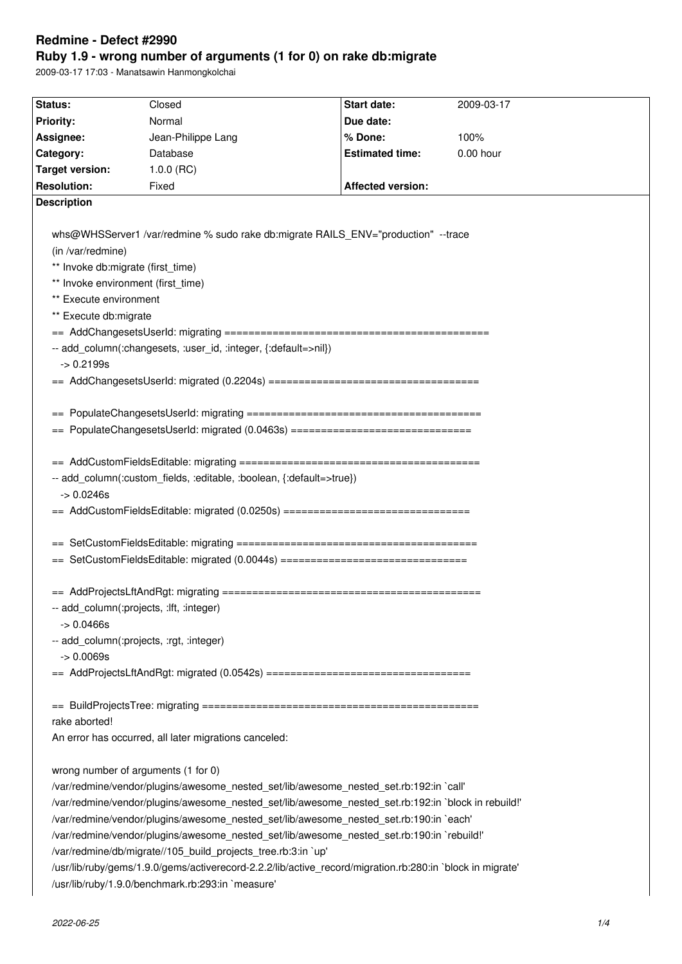# **Redmine - Defect #2990**

# **Ruby 1.9 - wrong number of arguments (1 for 0) on rake db:migrate**

2009-03-17 17:03 - Manatsawin Hanmongkolchai

| Status:                                                                                | Closed                                                                                                    | Start date:              | 2009-03-17 |  |
|----------------------------------------------------------------------------------------|-----------------------------------------------------------------------------------------------------------|--------------------------|------------|--|
| <b>Priority:</b>                                                                       | Normal                                                                                                    | Due date:                |            |  |
| Assignee:                                                                              | Jean-Philippe Lang                                                                                        | % Done:                  | 100%       |  |
| Category:                                                                              | Database                                                                                                  | <b>Estimated time:</b>   | 0.00 hour  |  |
| <b>Target version:</b>                                                                 | $1.0.0$ (RC)                                                                                              |                          |            |  |
| <b>Resolution:</b>                                                                     | Fixed                                                                                                     | <b>Affected version:</b> |            |  |
| <b>Description</b>                                                                     |                                                                                                           |                          |            |  |
|                                                                                        |                                                                                                           |                          |            |  |
|                                                                                        | whs@WHSServer1 /var/redmine % sudo rake db:migrate RAILS_ENV="production" --trace                         |                          |            |  |
| (in /var/redmine)                                                                      |                                                                                                           |                          |            |  |
| ** Invoke db:migrate (first_time)                                                      |                                                                                                           |                          |            |  |
|                                                                                        | ** Invoke environment (first_time)                                                                        |                          |            |  |
| ** Execute environment                                                                 |                                                                                                           |                          |            |  |
| ** Execute db:migrate                                                                  |                                                                                                           |                          |            |  |
|                                                                                        |                                                                                                           |                          |            |  |
|                                                                                        | -- add_column(:changesets, :user_id, :integer, {:default=>nil})                                           |                          |            |  |
| $-$ 0.2199s                                                                            |                                                                                                           |                          |            |  |
|                                                                                        |                                                                                                           |                          |            |  |
|                                                                                        |                                                                                                           |                          |            |  |
|                                                                                        |                                                                                                           |                          |            |  |
|                                                                                        | == PopulateChangesetsUserId: migrated (0.0463s) ===============================                           |                          |            |  |
|                                                                                        |                                                                                                           |                          |            |  |
|                                                                                        |                                                                                                           |                          |            |  |
|                                                                                        | -- add_column(:custom_fields, :editable, :boolean, {:default=>true})                                      |                          |            |  |
| $-$ 0.0246s                                                                            |                                                                                                           |                          |            |  |
|                                                                                        | == AddCustomFieldsEditable: migrated (0.0250s) ================================                           |                          |            |  |
|                                                                                        |                                                                                                           |                          |            |  |
|                                                                                        |                                                                                                           |                          |            |  |
|                                                                                        | == SetCustomFieldsEditable: migrated (0.0044s) ================================                           |                          |            |  |
|                                                                                        |                                                                                                           |                          |            |  |
|                                                                                        |                                                                                                           |                          |            |  |
|                                                                                        | -- add column(:projects, :lft, :integer)                                                                  |                          |            |  |
| $ > 0.0466s$                                                                           |                                                                                                           |                          |            |  |
|                                                                                        | -- add_column(:projects, :rgt, :integer)                                                                  |                          |            |  |
| $-$ 0.0069s                                                                            |                                                                                                           |                          |            |  |
|                                                                                        | == AddProjectsLftAndRgt: migrated (0.0542s) ===================================                           |                          |            |  |
|                                                                                        |                                                                                                           |                          |            |  |
|                                                                                        |                                                                                                           |                          |            |  |
| rake aborted!                                                                          |                                                                                                           |                          |            |  |
|                                                                                        | An error has occurred, all later migrations canceled:                                                     |                          |            |  |
|                                                                                        |                                                                                                           |                          |            |  |
|                                                                                        | wrong number of arguments (1 for 0)                                                                       |                          |            |  |
| /var/redmine/vendor/plugins/awesome_nested_set/lib/awesome_nested_set.rb:192:in `call' |                                                                                                           |                          |            |  |
|                                                                                        | /var/redmine/vendor/plugins/awesome_nested_set/lib/awesome_nested_set.rb:192:in `block in rebuild!'       |                          |            |  |
|                                                                                        | /var/redmine/vendor/plugins/awesome_nested_set/lib/awesome_nested_set.rb:190:in `each'                    |                          |            |  |
|                                                                                        | /var/redmine/vendor/plugins/awesome_nested_set/lib/awesome_nested_set.rb:190:in `rebuild!'                |                          |            |  |
|                                                                                        | /var/redmine/db/migrate//105_build_projects_tree.rb:3:in `up'                                             |                          |            |  |
|                                                                                        | /usr/lib/ruby/gems/1.9.0/gems/activerecord-2.2.2/lib/active_record/migration.rb:280:in `block in migrate' |                          |            |  |
|                                                                                        | /usr/lib/ruby/1.9.0/benchmark.rb:293:in `measure'                                                         |                          |            |  |
|                                                                                        |                                                                                                           |                          |            |  |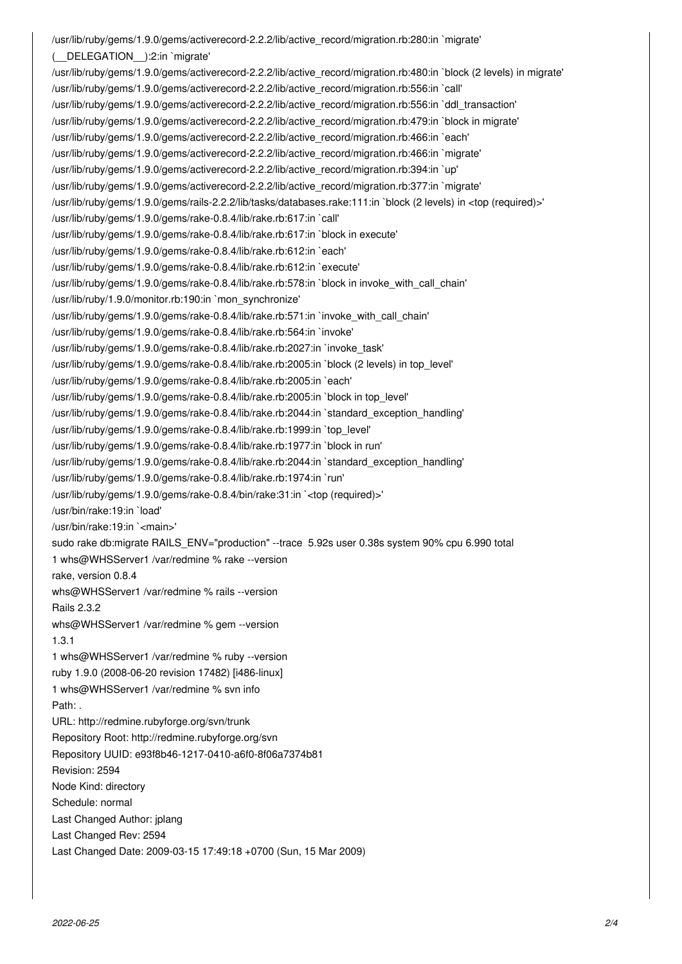/usr/lib/ruby/gems/1.9.0/gems/activerecord-2.2.2/lib/active\_record/migration.rb:280:in `migrate' (\_\_DELEGATION\_\_):2:in `migrate' /usr/lib/ruby/gems/1.9.0/gems/activerecord-2.2.2/lib/active\_record/migration.rb:480:in `block (2 levels) in migrate' /usr/lib/ruby/gems/1.9.0/gems/activerecord-2.2.2/lib/active\_record/migration.rb:556:in `call' /usr/lib/ruby/gems/1.9.0/gems/activerecord-2.2.2/lib/active\_record/migration.rb:556:in `ddl\_transaction' /usr/lib/ruby/gems/1.9.0/gems/activerecord-2.2.2/lib/active\_record/migration.rb:479:in `block in migrate' /usr/lib/ruby/gems/1.9.0/gems/activerecord-2.2.2/lib/active\_record/migration.rb:466:in `each' /usr/lib/ruby/gems/1.9.0/gems/activerecord-2.2.2/lib/active\_record/migration.rb:466:in `migrate' /usr/lib/ruby/gems/1.9.0/gems/activerecord-2.2.2/lib/active\_record/migration.rb:394:in `up' /usr/lib/ruby/gems/1.9.0/gems/activerecord-2.2.2/lib/active\_record/migration.rb:377:in `migrate' /usr/lib/ruby/gems/1.9.0/gems/rails-2.2.2/lib/tasks/databases.rake:111:in `block (2 levels) in <top (required)>' /usr/lib/ruby/gems/1.9.0/gems/rake-0.8.4/lib/rake.rb:617:in `call' /usr/lib/ruby/gems/1.9.0/gems/rake-0.8.4/lib/rake.rb:617:in `block in execute' /usr/lib/ruby/gems/1.9.0/gems/rake-0.8.4/lib/rake.rb:612:in `each' /usr/lib/ruby/gems/1.9.0/gems/rake-0.8.4/lib/rake.rb:612:in `execute' /usr/lib/ruby/gems/1.9.0/gems/rake-0.8.4/lib/rake.rb:578:in `block in invoke\_with\_call\_chain' /usr/lib/ruby/1.9.0/monitor.rb:190:in `mon\_synchronize' /usr/lib/ruby/gems/1.9.0/gems/rake-0.8.4/lib/rake.rb:571:in `invoke\_with\_call\_chain' /usr/lib/ruby/gems/1.9.0/gems/rake-0.8.4/lib/rake.rb:564:in `invoke' /usr/lib/ruby/gems/1.9.0/gems/rake-0.8.4/lib/rake.rb:2027:in `invoke\_task' /usr/lib/ruby/gems/1.9.0/gems/rake-0.8.4/lib/rake.rb:2005:in `block (2 levels) in top\_level' /usr/lib/ruby/gems/1.9.0/gems/rake-0.8.4/lib/rake.rb:2005:in `each' /usr/lib/ruby/gems/1.9.0/gems/rake-0.8.4/lib/rake.rb:2005:in `block in top\_level' /usr/lib/ruby/gems/1.9.0/gems/rake-0.8.4/lib/rake.rb:2044:in `standard\_exception\_handling' /usr/lib/ruby/gems/1.9.0/gems/rake-0.8.4/lib/rake.rb:1999:in `top\_level' /usr/lib/ruby/gems/1.9.0/gems/rake-0.8.4/lib/rake.rb:1977:in `block in run' /usr/lib/ruby/gems/1.9.0/gems/rake-0.8.4/lib/rake.rb:2044:in `standard\_exception\_handling' /usr/lib/ruby/gems/1.9.0/gems/rake-0.8.4/lib/rake.rb:1974:in `run' /usr/lib/ruby/gems/1.9.0/gems/rake-0.8.4/bin/rake:31:in `<top (required)>' /usr/bin/rake:19:in `load' /usr/bin/rake:19:in `<main>' sudo rake db:migrate RAILS\_ENV="production" --trace 5.92s user 0.38s system 90% cpu 6.990 total 1 whs@WHSServer1 /var/redmine % rake --version rake, version 0.8.4 whs@WHSServer1 /var/redmine % rails --version Rails 2.3.2 whs@WHSServer1 /var/redmine % gem --version 1.3.1 1 whs@WHSServer1 /var/redmine % ruby --version ruby 1.9.0 (2008-06-20 revision 17482) [i486-linux] 1 whs@WHSServer1 /var/redmine % svn info Path: . URL: http://redmine.rubyforge.org/svn/trunk Repository Root: http://redmine.rubyforge.org/svn Repository UUID: e93f8b46-1217-0410-a6f0-8f06a7374b81 Revision: 2594 Node Kind: directory Schedule: normal Last Changed Author: jplang Last Changed Rev: 2594 Last Changed Date: 2009-03-15 17:49:18 +0700 (Sun, 15 Mar 2009)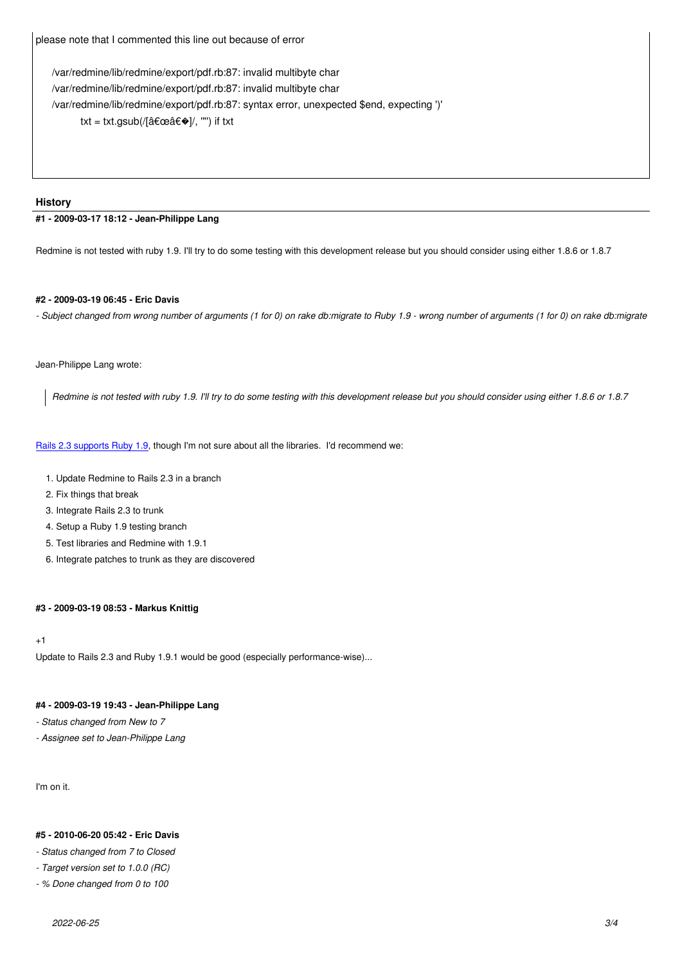/var/redmine/lib/redmine/export/pdf.rb:87: invalid multibyte char /var/redmine/lib/redmine/export/pdf.rb:87: invalid multibyte char /var/redmine/lib/redmine/export/pdf.rb:87: syntax error, unexpected \$end, expecting ')' txt = txt.gsub(/[â $\epsilon$ ω $\epsilon \diamond$ ]/, "") if txt

# **History**

# **#1 - 2009-03-17 18:12 - Jean-Philippe Lang**

Redmine is not tested with ruby 1.9. I'll try to do some testing with this development release but you should consider using either 1.8.6 or 1.8.7

#### **#2 - 2009-03-19 06:45 - Eric Davis**

*- Subject changed from wrong number of arguments (1 for 0) on rake db:migrate to Ruby 1.9 - wrong number of arguments (1 for 0) on rake db:migrate*

#### Jean-Philippe Lang wrote:

*Redmine is not tested with ruby 1.9. I'll try to do some testing with this development release but you should consider using either 1.8.6 or 1.8.7*

Rails 2.3 supports Ruby 1.9, though I'm not sure about all the libraries. I'd recommend we:

- 1. Update Redmine to Rails 2.3 in a branch
- [2. Fix things that break](http://guides.rubyonrails.org/2_3_release_notes.html#ruby-191-support)
- 3. Integrate Rails 2.3 to trunk
- 4. Setup a Ruby 1.9 testing branch
- 5. Test libraries and Redmine with 1.9.1
- 6. Integrate patches to trunk as they are discovered

# **#3 - 2009-03-19 08:53 - Markus Knittig**

### +1

Update to Rails 2.3 and Ruby 1.9.1 would be good (especially performance-wise)...

# **#4 - 2009-03-19 19:43 - Jean-Philippe Lang**

- *Status changed from New to 7*
- *Assignee set to Jean-Philippe Lang*

I'm on it.

### **#5 - 2010-06-20 05:42 - Eric Davis**

- *Status changed from 7 to Closed*
- *Target version set to 1.0.0 (RC)*
- *% Done changed from 0 to 100*